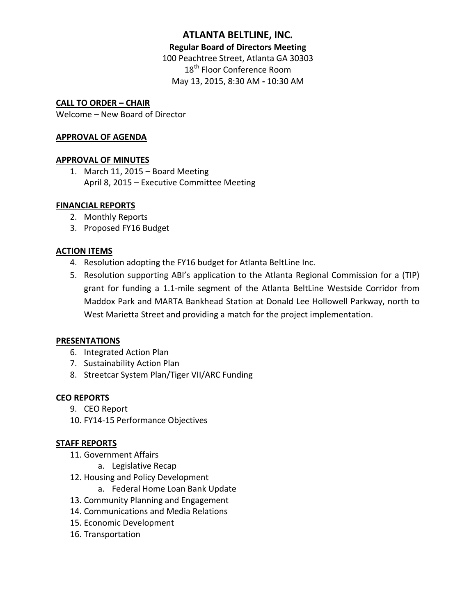# **ATLANTA BELTLINE, INC.**

#### **Regular Board of Directors Meeting**

100 Peachtree Street, Atlanta GA 30303 18<sup>th</sup> Floor Conference Room May 13, 2015, 8:30 AM **-** 10:30 AM

## **CALL TO ORDER – CHAIR**

Welcome – New Board of Director

#### **APPROVAL OF AGENDA**

#### **APPROVAL OF MINUTES**

1. March 11, 2015 – Board Meeting April 8, 2015 – Executive Committee Meeting

#### **FINANCIAL REPORTS**

- 2. Monthly Reports
- 3. Proposed FY16 Budget

#### **ACTION ITEMS**

- 4. Resolution adopting the FY16 budget for Atlanta BeltLine Inc.
- 5. Resolution supporting ABI's application to the Atlanta Regional Commission for a (TIP) grant for funding a 1.1-mile segment of the Atlanta BeltLine Westside Corridor from Maddox Park and MARTA Bankhead Station at Donald Lee Hollowell Parkway, north to West Marietta Street and providing a match for the project implementation.

#### **PRESENTATIONS**

- 6. Integrated Action Plan
- 7. Sustainability Action Plan
- 8. Streetcar System Plan/Tiger VII/ARC Funding

#### **CEO REPORTS**

- 9. CEO Report
- 10. FY14-15 Performance Objectives

#### **STAFF REPORTS**

- 11. Government Affairs
	- a. Legislative Recap
- 12. Housing and Policy Development
	- a. Federal Home Loan Bank Update
- 13. Community Planning and Engagement
- 14. Communications and Media Relations
- 15. Economic Development
- 16. Transportation